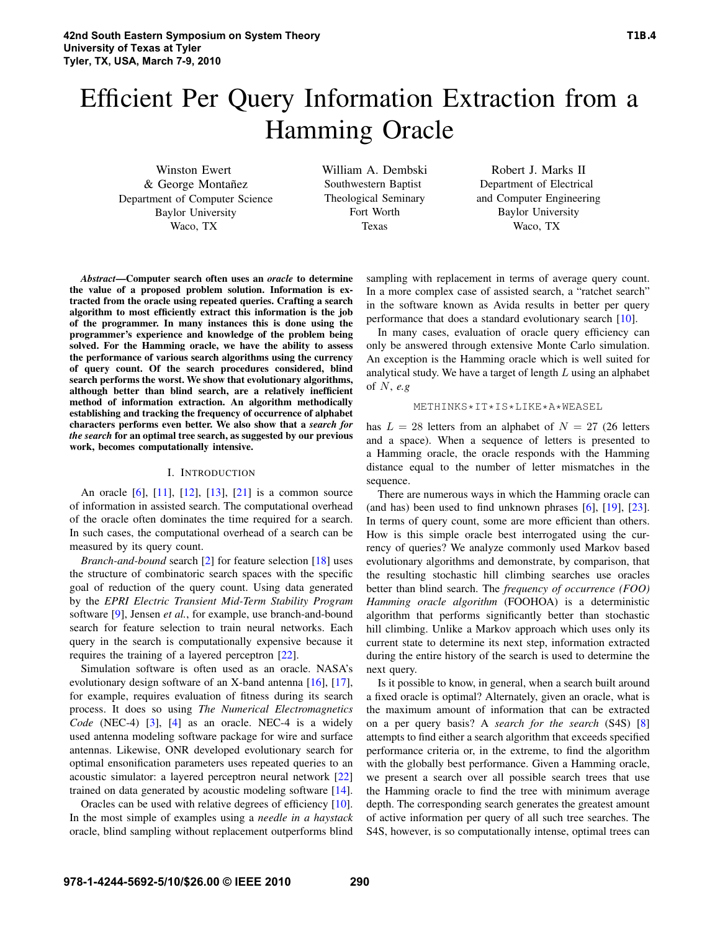# Efficient Per Query Information Extraction from a Hamming Oracle

Winston Ewert  $&$  George Montañez Department of Computer Science Baylor University Waco, TX

William A. Dembski Southwestern Baptist Theological Seminary Fort Worth Texas

Robert J. Marks II Department of Electrical and Computer Engineering Baylor University Waco, TX

*Abstract*—Computer search often uses an *oracle* to determine the value of a proposed problem solution. Information is extracted from the oracle using repeated queries. Crafting a search algorithm to most efficiently extract this information is the job of the programmer. In many instances this is done using the programmer's experience and knowledge of the problem being solved. For the Hamming oracle, we have the ability to assess the performance of various search algorithms using the currency of query count. Of the search procedures considered, blind search performs the worst. We show that evolutionary algorithms, although better than blind search, are a relatively inefficient method of information extraction. An algorithm methodically establishing and tracking the frequency of occurrence of alphabet characters performs even better. We also show that a *search for the search* for an optimal tree search, as suggested by our previous work, becomes computationally intensive.

#### I. INTRODUCTION

An oracle [6], [11], [12], [13], [21] is a common source of information in assisted search. The computational overhead of the oracle often dominates the time required for a search. In such cases, the computational overhead of a search can be measured by its query count.

*Branch-and-bound* search [2] for feature selection [18] uses the structure of combinatoric search spaces with the specific goal of reduction of the query count. Using data generated by the *EPRI Electric Transient Mid-Term Stability Program* software [9], Jensen *et al.*, for example, use branch-and-bound search for feature selection to train neural networks. Each query in the search is computationally expensive because it requires the training of a layered perceptron [22].

Simulation software is often used as an oracle. NASA's evolutionary design software of an X-band antenna [16], [17], for example, requires evaluation of fitness during its search process. It does so using *The Numerical Electromagnetics Code* (NEC-4) [3], [4] as an oracle. NEC-4 is a widely used antenna modeling software package for wire and surface antennas. Likewise, ONR developed evolutionary search for optimal ensonification parameters uses repeated queries to an acoustic simulator: a layered perceptron neural network [22] trained on data generated by acoustic modeling software [14].

Oracles can be used with relative degrees of efficiency [10]. In the most simple of examples using a *needle in a haystack* oracle, blind sampling without replacement outperforms blind

sampling with replacement in terms of average query count. In a more complex case of assisted search, a "ratchet search" in the software known as Avida results in better per query performance that does a standard evolutionary search [10].

In many cases, evaluation of oracle query efficiency can only be answered through extensive Monte Carlo simulation. An exception is the Hamming oracle which is well suited for analytical study. We have a target of length  $L$  using an alphabet of N, *e.g*

### METHINKS\*IT\*IS\*LIKE\*A\*

has  $L = 28$  letters from an alphabet of  $N = 27$  (26 letters and a space). When a sequence of letters is presented to and a space). When a sequence of letters is presented to a Hamming oracle, the oracle responds with the Hamming distance equal to the number of letter mismatches in the sequence.

There are numerous ways in which the Hamming oracle can (and has) been used to find unknown phrases  $[6]$ ,  $[19]$ ,  $[23]$ . In terms of query count, some are more efficient than others. How is this simple oracle best interrogated using the currency of queries? We analyze commonly used Markov based evolutionary algorithms and demonstrate, by comparison, that the resulting stochastic hill climbing searches use oracles better than blind search. The *frequency of occurrence (FOO) Hamming oracle algorithm* (FOOHOA) is a deterministic algorithm that performs significantly better than stochastic hill climbing. Unlike a Markov approach which uses only its current state to determine its next step, information extracted during the entire history of the search is used to determine the next query.

Is it possible to know, in general, when a search built around a fixed oracle is optimal? Alternately, given an oracle, what is the maximum amount of information that can be extracted on a per query basis? A *search for the search* (S4S) [8] attempts to find either a search algorithm that exceeds specified performance criteria or, in the extreme, to find the algorithm with the globally best performance. Given a Hamming oracle, we present a search over all possible search trees that use the Hamming oracle to find the tree with minimum average depth. The corresponding search generates the greatest amount of active information per query of all such tree searches. The S4S, however, is so computationally intense, optimal trees can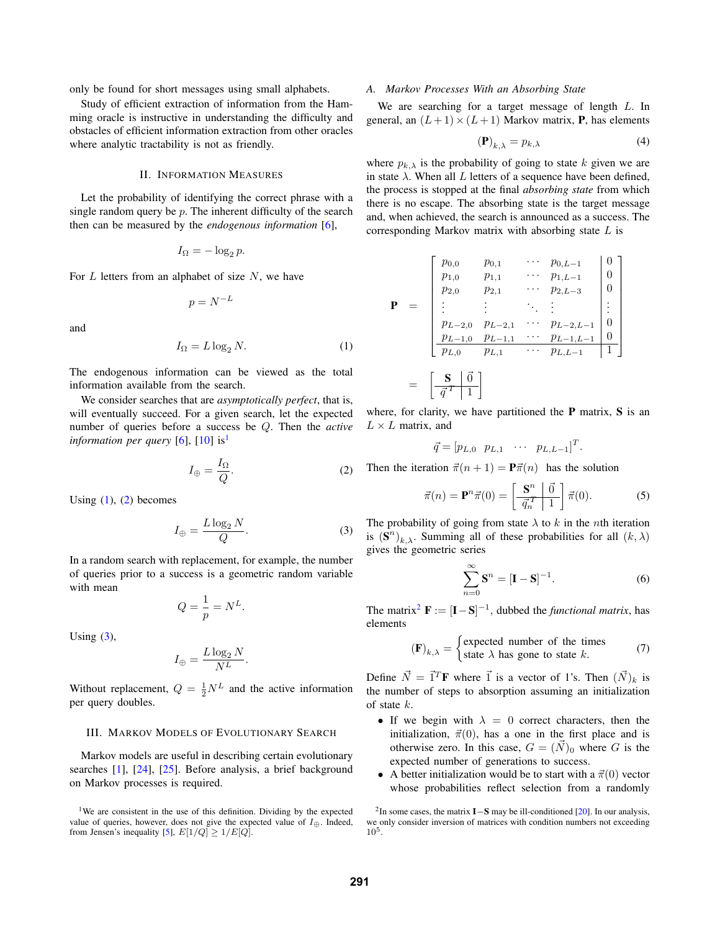only be found for short messages using small alphabets.

Study of efficient extraction of information from the Hamming oracle is instructive in understanding the difficulty and obstacles of efficient information extraction from other oracles where analytic tractability is not as friendly.

#### II. INFORMATION MEASURES

Let the probability of identifying the correct phrase with a single random query be  $p$ . The inherent difficulty of the search then can be measured by the *endogenous information* [6],

$$
I_{\Omega} = -\log_2 p.
$$

For  $L$  letters from an alphabet of size  $N$ , we have

$$
p = N^{-L}
$$

and

$$
I_{\Omega} = L \log_2 N. \tag{1}
$$

The endogenous information can be viewed as the total information available from the search.

We consider searches that are *asymptotically perfect*, that is, will eventually succeed. For a given search, let the expected number of queries before a success be Q. Then the *active information per query* [6],  $[10]$  is<sup>1</sup>

$$
I_{\oplus} = \frac{I_{\Omega}}{Q}.
$$
 (2)

Using  $(1)$ ,  $(2)$  becomes

$$
I_{\oplus} = \frac{L \log_2 N}{Q}.
$$
 (3)

In a random search with replacement, for example, the number of queries prior to a success is a geometric random variable with mean

$$
Q = \frac{1}{p} = N^L.
$$

Using  $(3)$ ,

$$
I_{\oplus} = \frac{L \log_2 N}{N^L}.
$$

Without replacement,  $Q = \frac{1}{2}N^L$  and the active information<br>per query doubles per query doubles.

#### III. MARKOV MODELS OF EVOLUTIONARY SEARCH

Markov models are useful in describing certain evolutionary searches [1], [24], [25]. Before analysis, a brief background on Markov processes is required.

#### *A. Markov Processes With an Absorbing State*

We are searching for a target message of length L. In general, an  $(L + 1) \times (L + 1)$  Markov matrix, **P**, has elements

$$
\left(\mathbf{P}\right)_{k,\lambda} = p_{k,\lambda} \tag{4}
$$

where  $p_{k,\lambda}$  is the probability of going to state k given we are in state  $\lambda$ . When all L letters of a sequence have been defined, the process is stopped at the final *absorbing state* from which there is no escape. The absorbing state is the target message and, when achieved, the search is announced as a success. The corresponding Markov matrix with absorbing state L is

$$
\mathbf{P} = \begin{bmatrix} p_{0,0} & p_{0,1} & \cdots & p_{0,L-1} & 0 \\ p_{1,0} & p_{1,1} & \cdots & p_{1,L-1} & 0 \\ p_{2,0} & p_{2,1} & \cdots & p_{2,L-3} & 0 \\ \vdots & \vdots & \ddots & \vdots & \vdots \\ p_{L-2,0} & p_{L-2,1} & \cdots & p_{L-2,L-1} & 0 \\ p_{L-1,0} & p_{L-1,1} & \cdots & p_{L-1,L-1} & 0 \\ \hline p_{L,0} & p_{L,1} & \cdots & p_{L,L-1} & 1 \end{bmatrix}
$$

$$
= \left[ \frac{\mathbf{S}}{\vec{q}^T} \right]^\top
$$

where, for clarity, we have partitioned the  $P$  matrix,  $S$  is an  $L \times L$  matrix, and

$$
\vec{q} = [p_{L,0} \ p_{L,1} \ \cdots \ p_{L,L-1}]^T.
$$

Then the iteration  $\vec{\pi}(n+1) = \mathbf{P}\vec{\pi}(n)$  has the solution

$$
\vec{\pi}(n) = \mathbf{P}^n \vec{\pi}(0) = \left[\begin{array}{c|c} \mathbf{S}^n & \vec{0} \\ \hline \vec{q}_n^T & 1 \end{array}\right] \vec{\pi}(0). \tag{5}
$$

The probability of going from state  $\lambda$  to k in the nth iteration is  $(\mathbf{S}^n)_{k,\lambda}$ . Summing all of these probabilities for all  $(k,\lambda)$ gives the geometric series

$$
\sum_{n=0}^{\infty} \mathbf{S}^n = [\mathbf{I} - \mathbf{S}]^{-1}.
$$
 (6)

The matrix<sup>2</sup>  $\mathbf{F} := [\mathbf{I} - \mathbf{S}]^{-1}$ , dubbed the *functional matrix*, has elements

$$
(\mathbf{F})_{k,\lambda} = \begin{cases} \text{expected number of the times} \\ \text{state } \lambda \text{ has gone to state } k. \end{cases} \tag{7}
$$

Define  $\vec{N} = \vec{T}^T \mathbf{F}$  where  $\vec{1}$  is a vector of 1's. Then  $(\vec{N})_k$  is the number of steps to absorption assuming an initialization of state k.

- If we begin with  $\lambda = 0$  correct characters, then the initialization,  $\vec{\pi}(0)$ , has a one in the first place and is otherwise zero. In this case,  $G = (\vec{N})_0$  where G is the expected number of generations to success.
- A better initialization would be to start with a  $\vec{\pi}(0)$  vector whose probabilities reflect selection from a randomly

<sup>&</sup>lt;sup>1</sup>We are consistent in the use of this definition. Dividing by the expected value of queries, however, does not give the expected value of  $I_{\oplus}$ . Indeed, from Jensen's inequality [5],  $E[1/Q] \ge 1/E[Q]$ .

<sup>&</sup>lt;sup>2</sup>In some cases, the matrix **I**−S may be ill-conditioned [20]. In our analysis, we only consider inversion of matrices with condition numbers not exceeding 105.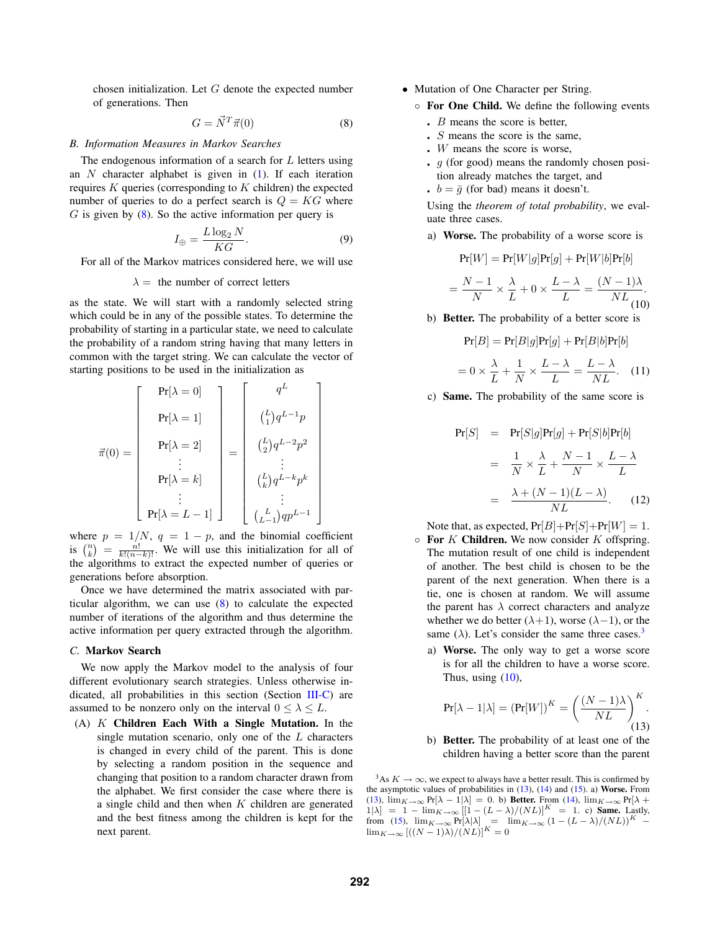chosen initialization. Let  $G$  denote the expected number of generations. Then

$$
G = \vec{N}^T \vec{\pi}(0) \tag{8}
$$

#### *B. Information Measures in Markov Searches*

The endogenous information of a search for  $L$  letters using an  $N$  character alphabet is given in  $(1)$ . If each iteration requires  $K$  queries (corresponding to  $K$  children) the expected number of queries to do a perfect search is  $Q = KG$  where  $G$  is given by  $(8)$ . So the active information per query is

$$
I_{\oplus} = \frac{L \log_2 N}{KG}.
$$
 (9) For all of the Markov matrices considered here, we will use

#### $\lambda =$  the number of correct letters

as the state. We will start with a randomly selected string which could be in any of the possible states. To determine the probability of starting in a particular state, we need to calculate the probability of a random string having that many letters in common with the target string. We can calculate the vector of starting positions to be used in the initialization as

$$
\vec{\pi}(0) = \begin{bmatrix} Pr[\lambda = 0] \\ Pr[\lambda = 1] \\ Pr[\lambda = 2] \\ \vdots \\ Pr[\lambda = k] \\ \vdots \\ Pr[\lambda = L - 1] \end{bmatrix} = \begin{bmatrix} q^{L} \\ {L \choose 1} q^{L-1} p \\ {L \choose 2} q^{L-2} p^{2} \\ \vdots \\ {L \choose k} q^{L-k} p^{k} \\ \vdots \\ {L \choose L-1} q p^{L-1} \end{bmatrix}
$$

where  $p = 1/N$ ,  $q = 1 - p$ , and the binomial coefficient is  $\binom{n}{k} = \frac{n!}{k!(n-k)!}$ . We will use this initialization for all of the algorithms to extract the expected number of queries or the algorithms to extract the expected number of queries or generations before absorption.

Once we have determined the matrix associated with particular algorithm, we can use (8) to calculate the expected number of iterations of the algorithm and thus determine the active information per query extracted through the algorithm.

#### *C.* Markov Search

We now apply the Markov model to the analysis of four different evolutionary search strategies. Unless otherwise indicated, all probabilities in this section (Section III-C) are assumed to be nonzero only on the interval  $0 \leq \lambda \leq L$ .

 $(A)$  K Children Each With a Single Mutation. In the single mutation scenario, only one of the  $L$  characters is changed in every child of the parent. This is done by selecting a random position in the sequence and changing that position to a random character drawn from the alphabet. We first consider the case where there is a single child and then when  $K$  children are generated and the best fitness among the children is kept for the next parent.

- Mutation of One Character per String.
	- For One Child. We define the following events
		- $\overline{B}$  means the score is better,<br>S means the score is the say
		- -S means the score is the same,
		- $W$  means the score is worse,<br> $a$  (for good) means the rando
		- $\cdot$  g (for good) means the randomly chosen position already matches the target and
		- tion already matches the target, and
		- $b = \bar{g}$  (for bad) means it doesn't. Using the *theorem of total probability*, we evaluate three cases.
		- a) Worse. The probability of a worse score is

$$
Pr[W] = Pr[W|g]Pr[g] + Pr[W|b]Pr[b]
$$
  
=  $\frac{N-1}{N} \times \frac{\lambda}{L} + 0 \times \frac{L-\lambda}{L} = \frac{(N-1)\lambda}{NL}$  (10)

b) Better. The probability of a better score is

$$
Pr[B] = Pr[B|g]Pr[g] + Pr[B|b]Pr[b]
$$

$$
= 0 \times \frac{\lambda}{L} + \frac{1}{N} \times \frac{L - \lambda}{L} = \frac{L - \lambda}{NL}.
$$
 (11)  
c) Same. The probability of the same score is

$$
Pr[S] = Pr[S|g]Pr[g] + Pr[S|b]Pr[b]
$$
  
=  $\frac{1}{N} \times \frac{\lambda}{L} + \frac{N-1}{N} \times \frac{L-\lambda}{L}$   
=  $\frac{\lambda + (N-1)(L-\lambda)}{NL}$ . (12)

Note that, as expected,  $Pr[B] + Pr[S] + Pr[W] = 1$ .

- $\circ$  For K Children. We now consider K offspring. The mutation result of one child is independent of another. The best child is chosen to be the parent of the next generation. When there is a tie, one is chosen at random. We will assume the parent has  $\lambda$  correct characters and analyze whether we do better  $(\lambda+1)$ , worse  $(\lambda-1)$ , or the same ( $\lambda$ ). Let's consider the same three cases.<sup>3</sup>
	- a) Worse. The only way to get a worse score is for all the children to have a worse score. Thus, using  $(10)$ ,

$$
\Pr[\lambda - 1|\lambda] = (\Pr[W])^{K} = \left(\frac{(N-1)\lambda}{NL}\right)^{K}.
$$
\n(13)

b) Better. The probability of at least one of the children having a better score than the parent

<sup>3</sup>As  $K \to \infty$ , we expect to always have a better result. This is confirmed by the asymptotic values of probabilities in  $(13)$ ,  $(14)$  and  $(15)$ . a) Worse. From (13),  $\lim_{K\to\infty}$  Pr[ $\lambda - 1$ | $\lambda$ ] = 0. b) Better. From (14),  $\lim_{K\to\infty}$  Pr[ $\lambda$  +  $1|\lambda] = 1 - \lim_{K \to \infty} [1 - (L - \lambda)/(NL)]^{K} = 1$ . c) Same. Lastly, from (15),  $\lim_{K \to \infty} Pr[\lambda|\lambda]$  =  $\lim_{K \to \infty} (1 - (L - \lambda)/(NL))^K$  –  $\lim_{K\to\infty}$   $[((N-1)\lambda)/(NL)]^{K} = 0$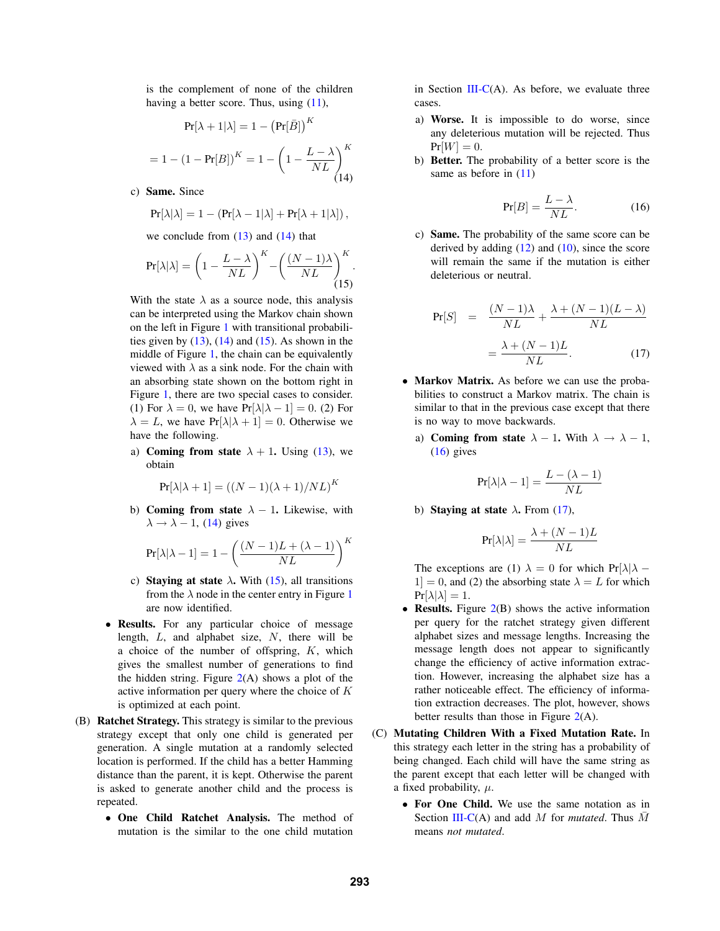is the complement of none of the children having a better score. Thus, using  $(11)$ ,

$$
\Pr[\lambda + 1|\lambda] = 1 - \left(\Pr[\bar{B}]\right)^K
$$

$$
= 1 - \left(1 - \Pr[B]\right)^K = 1 - \left(1 - \frac{L - \lambda}{NL}\right)^K
$$
(14)

c) Same. Since

$$
Pr[\lambda|\lambda] = 1 - (Pr[\lambda - 1|\lambda] + Pr[\lambda + 1|\lambda]),
$$

we conclude from  $(13)$  and  $(14)$  that

$$
\Pr[\lambda|\lambda] = \left(1 - \frac{L - \lambda}{NL}\right)^K - \left(\frac{(N-1)\lambda}{NL}\right)^K
$$
\n(15)

With the state  $\lambda$  as a source node, this analysis can be interpreted using the Markov chain shown on the left in Figure 1 with transitional probabilities given by  $(13)$ ,  $(14)$  and  $(15)$ . As shown in the middle of Figure 1, the chain can be equivalently viewed with  $\lambda$  as a sink node. For the chain with an absorbing state shown on the bottom right in Figure 1, there are two special cases to consider. (1) For  $\lambda = 0$ , we have Pr[ $\lambda |\lambda - 1| = 0$ . (2) For  $\lambda = L$ , we have  $Pr[\lambda | \lambda + 1] = 0$ . Otherwise we have the following.

a) Coming from state  $\lambda + 1$ . Using (13), we obtain

$$
Pr[\lambda|\lambda+1] = ((N-1)(\lambda+1)/NL)^K
$$

b) Coming from state  $\lambda - 1$ . Likewise, with  $\lambda \rightarrow \lambda - 1$ , (14) gives

$$
Pr[\lambda|\lambda - 1] = 1 - \left(\frac{(N-1)L + (\lambda - 1)}{NL}\right)^K
$$

- c) Staying at state  $\lambda$ . With (15), all transitions from the  $\lambda$  node in the center entry in Figure 1 are now identified.
- Results. For any particular choice of message length, L, and alphabet size, N, there will be a choice of the number of offspring,  $K$ , which gives the smallest number of generations to find the hidden string. Figure  $2(A)$  shows a plot of the active information per query where the choice of K is optimized at each point.
- (B) Ratchet Strategy. This strategy is similar to the previous strategy except that only one child is generated per generation. A single mutation at a randomly selected location is performed. If the child has a better Hamming distance than the parent, it is kept. Otherwise the parent is asked to generate another child and the process is repeated.
	- One Child Ratchet Analysis. The method of mutation is the similar to the one child mutation

in Section  $III-C(A)$ . As before, we evaluate three cases.

- a) Worse. It is impossible to do worse, since any deleterious mutation will be rejected. Thus  $Pr[W]=0.$
- b) Better. The probability of a better score is the same as before in  $(11)$

$$
\Pr[B] = \frac{L - \lambda}{NL}.\tag{16}
$$

c) Same. The probability of the same score can be derived by adding  $(12)$  and  $(10)$ , since the score will remain the same if the mutation is either deleterious or neutral.

$$
Pr[S] = \frac{(N-1)\lambda}{NL} + \frac{\lambda + (N-1)(L-\lambda)}{NL}
$$

$$
= \frac{\lambda + (N-1)L}{NL}.
$$
 (17)

- Markov Matrix. As before we can use the probabilities to construct a Markov matrix. The chain is similar to that in the previous case except that there is no way to move backwards.
	- a) Coming from state  $\lambda 1$ . With  $\lambda \rightarrow \lambda 1$ ,  $(16)$  gives

$$
\Pr[\lambda|\lambda-1]=\frac{L-(\lambda-1)}{NL}
$$

b) Staying at state  $\lambda$ . From (17),

$$
Pr[\lambda|\lambda] = \frac{\lambda + (N-1)L}{NL}
$$

The exceptions are (1)  $\lambda = 0$  for which  $Pr[\lambda | \lambda - 1] = 0$  and (2) the absorbing state  $\lambda = L$  for which  $1$  = 0, and (2) the absorbing state  $\lambda = L$  for which  $Pr[\lambda|\lambda]=1.$ 

- Results. Figure  $2(B)$  shows the active information per query for the ratchet strategy given different alphabet sizes and message lengths. Increasing the message length does not appear to significantly change the efficiency of active information extraction. However, increasing the alphabet size has a rather noticeable effect. The efficiency of information extraction decreases. The plot, however, shows better results than those in Figure  $2(A)$ .
- (C) Mutating Children With a Fixed Mutation Rate. In this strategy each letter in the string has a probability of being changed. Each child will have the same string as the parent except that each letter will be changed with a fixed probability,  $\mu$ .
	- For One Child. We use the same notation as in Section III-C(A) and add M for *mutated*. Thus  $\overline{M}$ means *not mutated*.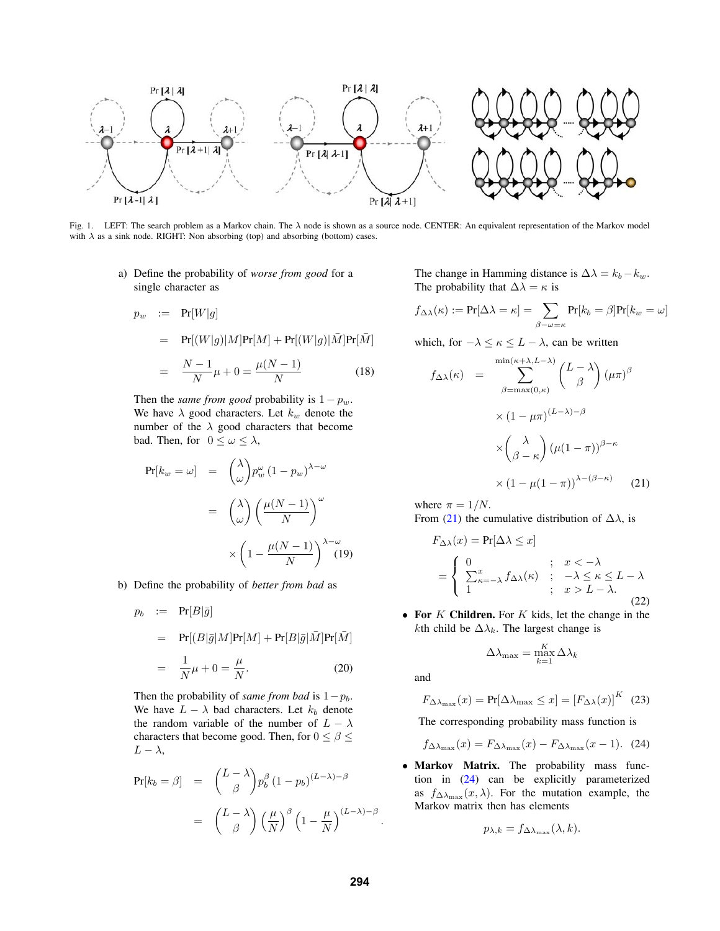

Fig. 1. LEFT: The search problem as a Markov chain. The λ node is shown as a source node. CENTER: An equivalent representation of the Markov model with  $\lambda$  as a sink node. RIGHT: Non absorbing (top) and absorbing (bottom) cases.

a) Define the probability of *worse from good* for a single character as

$$
p_w := \Pr[W|g]
$$
  
=  $\Pr[(W|g)|M]\Pr[M] + \Pr[(W|g)|\overline{M}]\Pr[\overline{M}]$   
=  $\frac{N-1}{N}\mu + 0 = \frac{\mu(N-1)}{N}$  (18)

Then the *same from good* probability is  $1 - p_w$ . We have  $\lambda$  good characters. Let  $k_w$  denote the number of the  $\lambda$  good characters that become bad. Then, for  $0 \leq \omega \leq \lambda$ ,

$$
\Pr[k_w = \omega] = {\lambda \choose \omega} p_w^{\omega} (1 - p_w)^{\lambda - \omega}
$$

$$
= {\lambda \choose \omega} \left( \frac{\mu(N-1)}{N} \right)^{\omega}
$$

$$
\times \left( 1 - \frac{\mu(N-1)}{N} \right)^{\lambda - \omega} (19)
$$

b) Define the probability of *better from bad* as

$$
p_b := \Pr[B|\bar{g}]
$$
  
=  $\Pr[(B|\bar{g}|M]\Pr[M] + \Pr[B|\bar{g}|\bar{M}]\Pr[\bar{M}]$   
=  $\frac{1}{N}\mu + 0 = \frac{\mu}{N}.$  (20)

Then the probability of *same from bad* is  $1-p<sub>b</sub>$ . We have  $L - \lambda$  bad characters. Let  $k_b$  denote the random variable of the number of  $L - \lambda$ characters that become good. Then, for  $0 \le \beta \le$  $L - \lambda$ ,

$$
\begin{array}{rcl} \Pr[k_b = \beta] & = & \binom{L - \lambda}{\beta} p_b^{\beta} \left( 1 - p_b \right)^{(L - \lambda) - \beta} \\ & = & \binom{L - \lambda}{\beta} \left( \frac{\mu}{N} \right)^{\beta} \left( 1 - \frac{\mu}{N} \right)^{(L - \lambda) - \beta} .\end{array}
$$

The change in Hamming distance is  $\Delta \lambda = k_b - k_w$ . The probability that  $\Delta \lambda = \kappa$  is

$$
f_{\Delta\lambda}(\kappa) := \Pr[\Delta\lambda = \kappa] = \sum_{\beta - \omega = \kappa} \Pr[k_b = \beta] \Pr[k_w = \omega]
$$

which, for  $-\lambda \le \kappa \le L - \lambda$ , can be written

$$
f_{\Delta\lambda}(\kappa) = \sum_{\beta=\max(0,\kappa)}^{\min(\kappa+\lambda, L-\lambda)} \binom{L-\lambda}{\beta} (\mu\pi)^{\beta}
$$

$$
\times (1-\mu\pi)^{(L-\lambda)-\beta}
$$

$$
\times \binom{\lambda}{\beta-\kappa} (\mu(1-\pi))^{\beta-\kappa}
$$

$$
\times (1-\mu(1-\pi))^{\lambda-(\beta-\kappa)} \qquad (21)
$$

where  $\pi = 1/N$ . From (21) the cumulative distribution of  $\Delta\lambda$ , is

$$
F_{\Delta\lambda}(x) = \Pr[\Delta\lambda \le x]
$$
  
= 
$$
\begin{cases} 0 & ; x < -\lambda \\ \sum_{\kappa=-\lambda}^{x} f_{\Delta\lambda}(\kappa) & ; -\lambda \le \kappa \le L - \lambda \\ 1 & ; x > L - \lambda. \end{cases}
$$
 (22)

• For  $K$  Children. For  $K$  kids, let the change in the kth child be  $\Delta \lambda_k$ . The largest change is

$$
\Delta \lambda_{\max} = \max_{k=1}^K \Delta \lambda_k
$$

and

$$
F_{\Delta\lambda_{\max}}(x) = \Pr[\Delta\lambda_{\max} \le x] = [F_{\Delta\lambda}(x)]^K \quad (23)
$$

The corresponding probability mass function is

$$
f_{\Delta\lambda_{\max}}(x) = F_{\Delta\lambda_{\max}}(x) - F_{\Delta\lambda_{\max}}(x-1). \tag{24}
$$

• Markov Matrix. The probability mass function in (24) can be explicitly parameterized as  $f_{\Delta\lambda_{\text{max}}}(x, \lambda)$ . For the mutation example, the Markov matrix then has elements

$$
p_{\lambda,k}=f_{\Delta\lambda_{\max}}(\lambda,k).
$$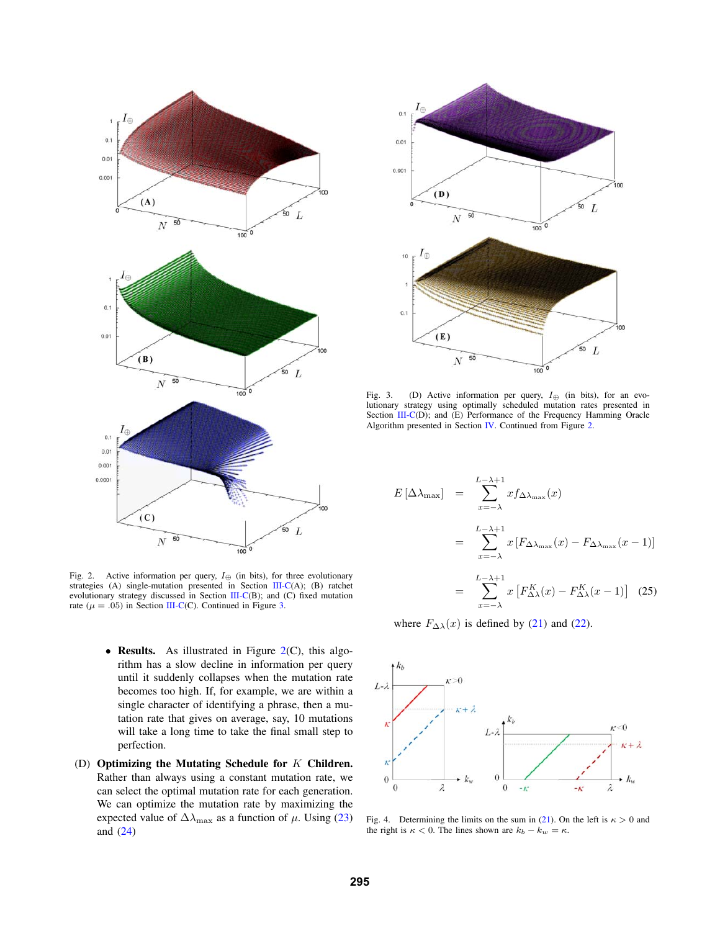

Fig. 2. Active information per query,  $I_{\oplus}$  (in bits), for three evolutionary strategies (A) single-mutation presented in Section III-C(A); (B) ratchet evolutionary strategy discussed in Section III-C(B); and (C) fixed mutation rate ( $\mu = .05$ ) in Section III-C(C). Continued in Figure 3.

- Results. As illustrated in Figure  $2(C)$ , this algorithm has a slow decline in information per query until it suddenly collapses when the mutation rate becomes too high. If, for example, we are within a single character of identifying a phrase, then a mutation rate that gives on average, say, 10 mutations will take a long time to take the final small step to perfection.
- (D) Optimizing the Mutating Schedule for  $K$  Children. Rather than always using a constant mutation rate, we can select the optimal mutation rate for each generation. We can optimize the mutation rate by maximizing the expected value of  $\Delta\lambda_{\text{max}}$  as a function of  $\mu$ . Using (23) and (24)



Fig. 3. (D) Active information per query,  $I_{\oplus}$  (in bits), for an evolutionary strategy using optimally scheduled mutation rates presented in Section III-C(D); and (E) Performance of the Frequency Hamming Oracle Algorithm presented in Section IV. Continued from Figure 2.

$$
E\left[\Delta\lambda_{\max}\right] = \sum_{x=-\lambda}^{L-\lambda+1} x f_{\Delta\lambda_{\max}}(x)
$$
  

$$
= \sum_{x=-\lambda}^{L-\lambda+1} x \left[F_{\Delta\lambda_{\max}}(x) - F_{\Delta\lambda_{\max}}(x-1)\right]
$$
  

$$
= \sum_{x=-\lambda}^{L-\lambda+1} x \left[F_{\Delta\lambda}^{K}(x) - F_{\Delta\lambda}^{K}(x-1)\right] \quad (25)
$$

where  $F_{\Delta\lambda}(x)$  is defined by (21) and (22).



Fig. 4. Determining the limits on the sum in (21). On the left is  $\kappa > 0$  and the right is  $\kappa < 0$ . The lines shown are  $k_b - k_w = \kappa$ .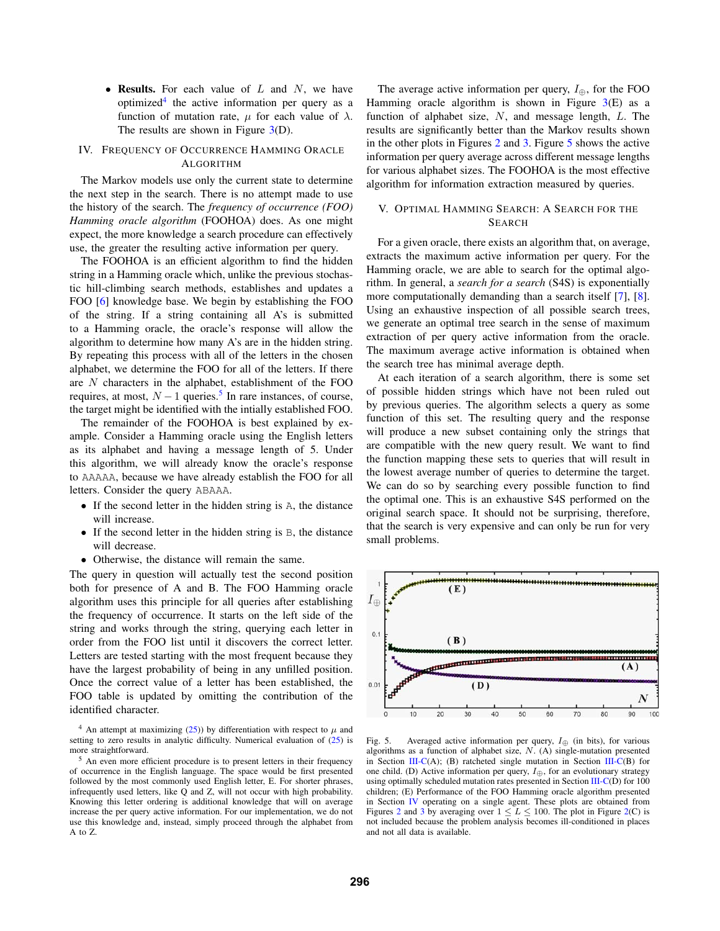• Results. For each value of  $L$  and  $N$ , we have optimized<sup>4</sup> the active information per query as a function of mutation rate,  $\mu$  for each value of  $\lambda$ . The results are shown in Figure  $3(D)$ .

#### IV. FREQUENCY OF OCCURRENCE HAMMING ORACLE ALGORITHM

The Markov models use only the current state to determine the next step in the search. There is no attempt made to use the history of the search. The *frequency of occurrence (FOO) Hamming oracle algorithm* (FOOHOA) does. As one might expect, the more knowledge a search procedure can effectively use, the greater the resulting active information per query.

The FOOHOA is an efficient algorithm to find the hidden string in a Hamming oracle which, unlike the previous stochastic hill-climbing search methods, establishes and updates a FOO [6] knowledge base. We begin by establishing the FOO of the string. If a string containing all A's is submitted to a Hamming oracle, the oracle's response will allow the algorithm to determine how many A's are in the hidden string. By repeating this process with all of the letters in the chosen alphabet, we determine the FOO for all of the letters. If there are  $N$  characters in the alphabet, establishment of the FOO requires, at most,  $N - 1$  queries.<sup>5</sup> In rare instances, of course, the target might be identified with the intially established FOO.

The remainder of the FOOHOA is best explained by example. Consider a Hamming oracle using the English letters as its alphabet and having a message length of 5. Under this algorithm, we will already know the oracle's response to AAAAA, because we have already establish the FOO for all letters. Consider the query ABAAA.

- If the second letter in the hidden string is A, the distance will increase.
- If the second letter in the hidden string is B, the distance will decrease.
- Otherwise, the distance will remain the same.

The query in question will actually test the second position both for presence of A and B. The FOO Hamming oracle algorithm uses this principle for all queries after establishing the frequency of occurrence. It starts on the left side of the string and works through the string, querying each letter in order from the FOO list until it discovers the correct letter. Letters are tested starting with the most frequent because they have the largest probability of being in any unfilled position. Once the correct value of a letter has been established, the FOO table is updated by omitting the contribution of the identified character.

The average active information per query,  $I_{\oplus}$ , for the FOO Hamming oracle algorithm is shown in Figure  $3(E)$  as a function of alphabet size,  $N$ , and message length,  $L$ . The results are significantly better than the Markov results shown in the other plots in Figures 2 and 3. Figure 5 shows the active information per query average across different message lengths for various alphabet sizes. The FOOHOA is the most effective algorithm for information extraction measured by queries.

#### V. OPTIMAL HAMMING SEARCH: A SEARCH FOR THE SEARCH

For a given oracle, there exists an algorithm that, on average, extracts the maximum active information per query. For the Hamming oracle, we are able to search for the optimal algorithm. In general, a *search for a search* (S4S) is exponentially more computationally demanding than a search itself [7], [8]. Using an exhaustive inspection of all possible search trees, we generate an optimal tree search in the sense of maximum extraction of per query active information from the oracle. The maximum average active information is obtained when the search tree has minimal average depth.

At each iteration of a search algorithm, there is some set of possible hidden strings which have not been ruled out by previous queries. The algorithm selects a query as some function of this set. The resulting query and the response will produce a new subset containing only the strings that are compatible with the new query result. We want to find the function mapping these sets to queries that will result in the lowest average number of queries to determine the target. We can do so by searching every possible function to find the optimal one. This is an exhaustive S4S performed on the original search space. It should not be surprising, therefore, that the search is very expensive and can only be run for very small problems.



Fig. 5. Averaged active information per query,  $I_{\oplus}$  (in bits), for various algorithms as a function of alphabet size, N. (A) single-mutation presented in Section III-C(A); (B) ratcheted single mutation in Section III-C(B) for one child. (D) Active information per query,  $I_{\oplus}$ , for an evolutionary strategy using optimally scheduled mutation rates presented in Section III-C(D) for 100 children; (E) Performance of the FOO Hamming oracle algorithm presented in Section IV operating on a single agent. These plots are obtained from Figures 2 and 3 by averaging over  $1 \le L \le 100$ . The plot in Figure 2(C) is not included because the problem analysis becomes ill-conditioned in places and not all data is available.

<sup>&</sup>lt;sup>4</sup> An attempt at maximizing (25)) by differentiation with respect to  $\mu$  and setting to zero results in analytic difficulty. Numerical evaluation of  $(25)$  is more straightforward.

<sup>&</sup>lt;sup>5</sup> An even more efficient procedure is to present letters in their frequency of occurrence in the English language. The space would be first presented followed by the most commonly used English letter, E. For shorter phrases, infrequently used letters, like Q and Z, will not occur with high probability. Knowing this letter ordering is additional knowledge that will on average increase the per query active information. For our implementation, we do not use this knowledge and, instead, simply proceed through the alphabet from A to Z.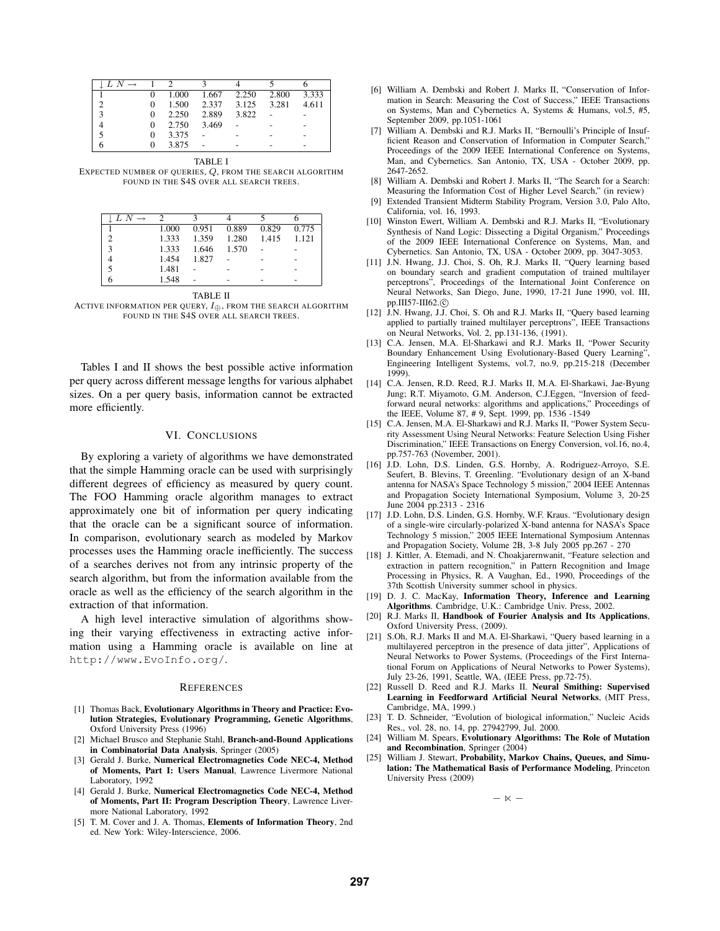| $L N \rightarrow$ | ∍     |       |       |       |       |
|-------------------|-------|-------|-------|-------|-------|
|                   | 1.000 | 1.667 | 2.250 | 2.800 | 3.333 |
|                   | 1.500 | 2.337 | 3.125 | 3.281 | 4.611 |
| $\mathbf{\Omega}$ | 2.250 | 2.889 | 3.822 |       |       |
|                   | 2.750 | 3.469 |       |       |       |
|                   | 3.375 |       |       |       |       |
|                   | 3.875 |       |       |       |       |

TABLE I EXPECTED NUMBER OF QUERIES, Q, FROM THE SEARCH ALGORITHM FOUND IN THE S4S OVER ALL SEARCH TREES.

| $\vdash L \ N \rightarrow$ | ∍     |       |             |       |       |
|----------------------------|-------|-------|-------------|-------|-------|
|                            | 1.000 |       | 0.951 0.889 | 0.829 | 0.775 |
| 2                          | 1.333 | 1.359 | 1.280       | 1.415 | 1.121 |
|                            | 1.333 | 1.646 | 1.570       |       |       |
|                            | 1.454 | 1.827 |             |       |       |
|                            | 1.481 |       |             |       |       |
|                            | 1.548 |       |             |       |       |

TABLE II

ACTIVE INFORMATION PER QUERY,  $I_{\oplus}$ , FROM THE SEARCH ALGORITHM FOUND IN THE S4S OVER ALL SEARCH TREES.

Tables I and II shows the best possible active information per query across different message lengths for various alphabet sizes. On a per query basis, information cannot be extracted more efficiently.

#### VI. CONCLUSIONS

By exploring a variety of algorithms we have demonstrated that the simple Hamming oracle can be used with surprisingly different degrees of efficiency as measured by query count. The FOO Hamming oracle algorithm manages to extract approximately one bit of information per query indicating that the oracle can be a significant source of information. In comparison, evolutionary search as modeled by Markov processes uses the Hamming oracle inefficiently. The success of a searches derives not from any intrinsic property of the search algorithm, but from the information available from the oracle as well as the efficiency of the search algorithm in the extraction of that information.

A high level interactive simulation of algorithms showing their varying effectiveness in extracting active information using a Hamming oracle is available on line at http://www.EvoInfo.org/.

#### **REFERENCES**

- [1] Thomas Back, Evolutionary Algorithms in Theory and Practice: Evolution Strategies, Evolutionary Programming, Genetic Algorithms, Oxford University Press (1996)
- Michael Brusco and Stephanie Stahl, Branch-and-Bound Applications in Combinatorial Data Analysis, Springer (2005)
- [3] Gerald J. Burke, Numerical Electromagnetics Code NEC-4, Method of Moments, Part I: Users Manual, Lawrence Livermore National Laboratory, 1992
- [4] Gerald J. Burke, Numerical Electromagnetics Code NEC-4, Method of Moments, Part II: Program Description Theory, Lawrence Livermore National Laboratory, 1992
- [5] T. M. Cover and J. A. Thomas, Elements of Information Theory, 2nd ed. New York: Wiley-Interscience, 2006.
- [6] William A. Dembski and Robert J. Marks II, "Conservation of Information in Search: Measuring the Cost of Success," IEEE Transactions on Systems, Man and Cybernetics A, Systems & Humans, vol.5, #5, September 2009, pp.1051-1061
- [7] William A. Dembski and R.J. Marks II, "Bernoulli's Principle of Insufficient Reason and Conservation of Information in Computer Search," Proceedings of the 2009 IEEE International Conference on Systems, Man, and Cybernetics. San Antonio, TX, USA - October 2009, pp. 2647-2652.
- [8] William A. Dembski and Robert J. Marks II, "The Search for a Search: Measuring the Information Cost of Higher Level Search," (in review)
- [9] Extended Transient Midterm Stability Program, Version 3.0, Palo Alto, California, vol. 16, 1993.
- [10] Winston Ewert, William A. Dembski and R.J. Marks II, "Evolutionary Synthesis of Nand Logic: Dissecting a Digital Organism," Proceedings of the 2009 IEEE International Conference on Systems, Man, and Cybernetics. San Antonio, TX, USA - October 2009, pp. 3047-3053.
- [11] J.N. Hwang, J.J. Choi, S. Oh, R.J. Marks II, "Query learning based on boundary search and gradient computation of trained multilayer perceptrons", Proceedings of the International Joint Conference on Neural Networks, San Diego, June, 1990, 17-21 June 1990, vol. III, pp.III57-III62.<sub>C</sub>
- [12] J.N. Hwang, J.J. Choi, S. Oh and R.J. Marks II, "Query based learning applied to partially trained multilayer perceptrons", IEEE Transactions on Neural Networks, Vol. 2, pp.131-136, (1991).
- [13] C.A. Jensen, M.A. El-Sharkawi and R.J. Marks II, "Power Security Boundary Enhancement Using Evolutionary-Based Query Learning", Engineering Intelligent Systems, vol.7, no.9, pp.215-218 (December 1999).
- [14] C.A. Jensen, R.D. Reed, R.J. Marks II, M.A. El-Sharkawi, Jae-Byung Jung; R.T. Miyamoto, G.M. Anderson, C.J.Eggen, "Inversion of feedforward neural networks: algorithms and applications," Proceedings of the IEEE, Volume 87, # 9, Sept. 1999, pp. 1536 -1549
- [15] C.A. Jensen, M.A. El-Sharkawi and R.J. Marks II, "Power System Security Assessment Using Neural Networks: Feature Selection Using Fisher Discrimination," IEEE Transactions on Energy Conversion, vol.16, no.4, pp.757-763 (November, 2001).
- [16] J.D. Lohn, D.S. Linden, G.S. Hornby, A. Rodriguez-Arroyo, S.E. Seufert, B. Blevins, T. Greenling. "Evolutionary design of an X-band antenna for NASA's Space Technology 5 mission," 2004 IEEE Antennas and Propagation Society International Symposium, Volume 3, 20-25 June 2004 pp.2313 - 2316
- [17] J.D. Lohn, D.S. Linden, G.S. Hornby, W.F. Kraus. "Evolutionary design of a single-wire circularly-polarized X-band antenna for NASA's Space Technology 5 mission," 2005 IEEE International Symposium Antennas and Propagation Society, Volume 2B, 3-8 July 2005 pp.267 - 270
- [18] J. Kittler, A. Etemadi, and N. Choakjarernwanit, "Feature selection and extraction in pattern recognition," in Pattern Recognition and Image Processing in Physics, R. A Vaughan, Ed., 1990, Proceedings of the 37th Scottish University summer school in physics.
- [19] D. J. C. MacKay, Information Theory, Inference and Learning Algorithms. Cambridge, U.K.: Cambridge Univ. Press, 2002.
- [20] R.J. Marks II, Handbook of Fourier Analysis and Its Applications, Oxford University Press, (2009).
- [21] S.Oh, R.J. Marks II and M.A. El-Sharkawi, "Query based learning in a multilayered perceptron in the presence of data jitter", Applications of Neural Networks to Power Systems, (Proceedings of the First International Forum on Applications of Neural Networks to Power Systems), July 23-26, 1991, Seattle, WA, (IEEE Press, pp.72-75).
- [22] Russell D. Reed and R.J. Marks II. Neural Smithing: Supervised Learning in Feedforward Artificial Neural Networks, (MIT Press, Cambridge, MA, 1999.)
- [23] T. D. Schneider, "Evolution of biological information," Nucleic Acids Res., vol. 28, no. 14, pp. 27942799, Jul. 2000.
- [24] William M. Spears, Evolutionary Algorithms: The Role of Mutation and Recombination, Springer (2004)
- [25] William J. Stewart, Probability, Markov Chains, Queues, and Simulation: The Mathematical Basis of Performance Modeling, Princeton University Press (2009)

 $- \times -$